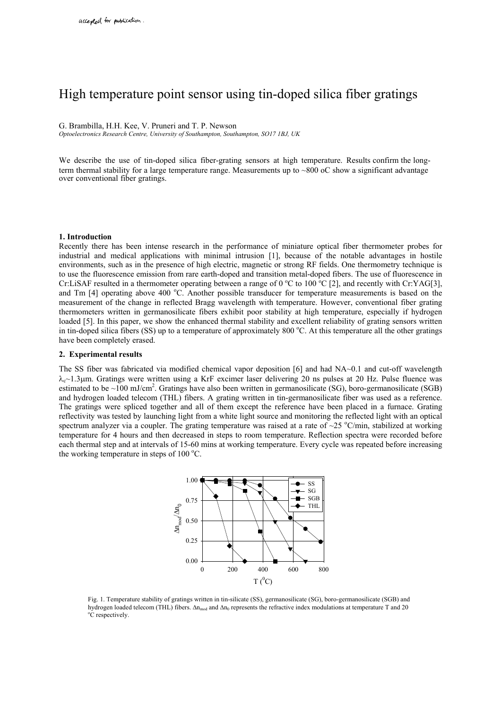# High temperature point sensor using tin-doped silica fiber gratings

G. Brambilla, H.H. Kee, V. Pruneri and T. P. Newson

*Optoelectronics Research Centre, University of Southampton, Southampton, SO17 1BJ, UK* 

We describe the use of tin-doped silica fiber-grating sensors at high temperature. Results confirm the longterm thermal stability for a large temperature range. Measurements up to  $\sim 800$  oC show a significant advantage over conventional fiber gratings.

### **1. Introduction**

Recently there has been intense research in the performance of miniature optical fiber thermometer probes for industrial and medical applications with minimal intrusion [1], because of the notable advantages in hostile environments, such as in the presence of high electric, magnetic or strong RF fields. One thermometry technique is to use the fluorescence emission from rare earth-doped and transition metal-doped fibers. The use of fluorescence in Cr:LiSAF resulted in a thermometer operating between a range of 0  $^{\circ}$ C to 100  $^{\circ}$ C [2], and recently with Cr:YAG[3], and Tm [4] operating above 400 °C. Another possible transducer for temperature measurements is based on the measurement of the change in reflected Bragg wavelength with temperature. However, conventional fiber grating thermometers written in germanosilicate fibers exhibit poor stability at high temperature, especially if hydrogen loaded [5]. In this paper, we show the enhanced thermal stability and excellent reliability of grating sensors written in tin-doped silica fibers (SS) up to a temperature of approximately 800 °C. At this temperature all the other gratings have been completely erased.

## **2. Experimental results**

The SS fiber was fabricated via modified chemical vapor deposition [6] and had NA~0.1 and cut-off wavelength  $\lambda_c$ ~1.3µm. Gratings were written using a KrF excimer laser delivering 20 ns pulses at 20 Hz. Pulse fluence was estimated to be  $\sim$ 100 mJ/cm<sup>2</sup>. Gratings have also been written in germanosilicate (SG), boro-germanosilicate (SGB) and hydrogen loaded telecom (THL) fibers. A grating written in tin-germanosilicate fiber was used as a reference. The gratings were spliced together and all of them except the reference have been placed in a furnace. Grating reflectivity was tested by launching light from a white light source and monitoring the reflected light with an optical spectrum analyzer via a coupler. The grating temperature was raised at a rate of  $\sim$ 25 °C/min, stabilized at working temperature for 4 hours and then decreased in steps to room temperature. Reflection spectra were recorded before each thermal step and at intervals of 15-60 mins at working temperature. Every cycle was repeated before increasing the working temperature in steps of  $100^{\circ}$ C.



Fig. 1. Temperature stability of gratings written in tin-silicate (SS), germanosilicate (SG), boro-germanosilicate (SGB) and hydrogen loaded telecom (THL) fibers. ∆n<sub>mod</sub> and ∆n<sub>0</sub> represents the refractive index modulations at temperature T and 20 <sup>o</sup>C respectively.